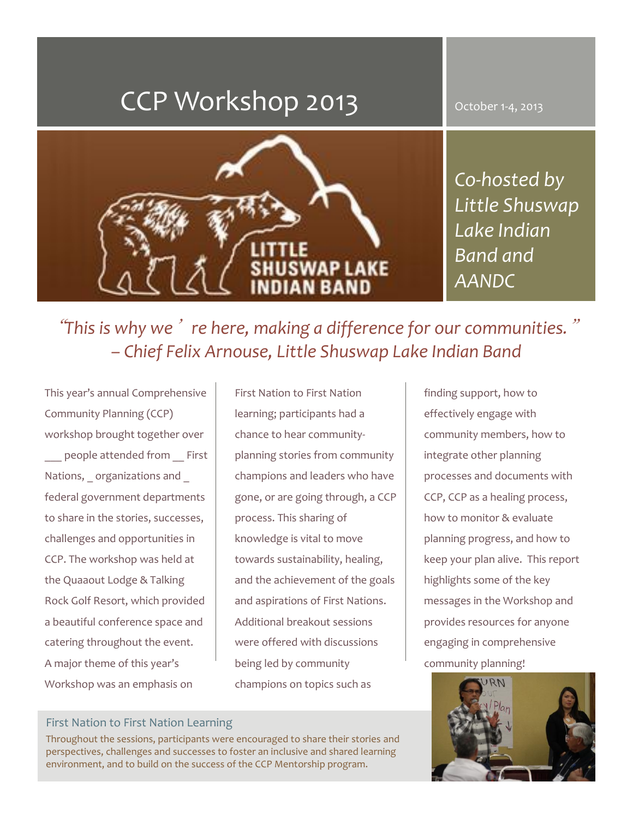# CCP Workshop 2013

October 1-4, 2013



*Co-hosted by Little Shuswap Lake Indian Band and AANDC*

"*This is why we*'*re here, making a difference for our communities.*" *– Chief Felix Arnouse, Little Shuswap Lake Indian Band*

This year's annual Comprehensive Community Planning (CCP) workshop brought together over

people attended from First Nations, organizations and federal government departments to share in the stories, successes, challenges and opportunities in CCP. The workshop was held at the Quaaout Lodge & Talking Rock Golf Resort, which provided a beautiful conference space and catering throughout the event. A major theme of this year's Workshop was an emphasis on

First Nation to First Nation learning; participants had a chance to hear communityplanning stories from community champions and leaders who have gone, or are going through, a CCP process. This sharing of knowledge is vital to move towards sustainability, healing, and the achievement of the goals and aspirations of First Nations. Additional breakout sessions were offered with discussions being led by community champions on topics such as

finding support, how to effectively engage with community members, how to integrate other planning processes and documents with CCP, CCP as a healing process, how to monitor & evaluate planning progress, and how to keep your plan alive. This report highlights some of the key messages in the Workshop and provides resources for anyone engaging in comprehensive community planning!



#### First Nation to First Nation Learning

Throughout the sessions, participants were encouraged to share their stories and perspectives, challenges and successes to foster an inclusive and shared learning environment, and to build on the success of the CCP Mentorship program.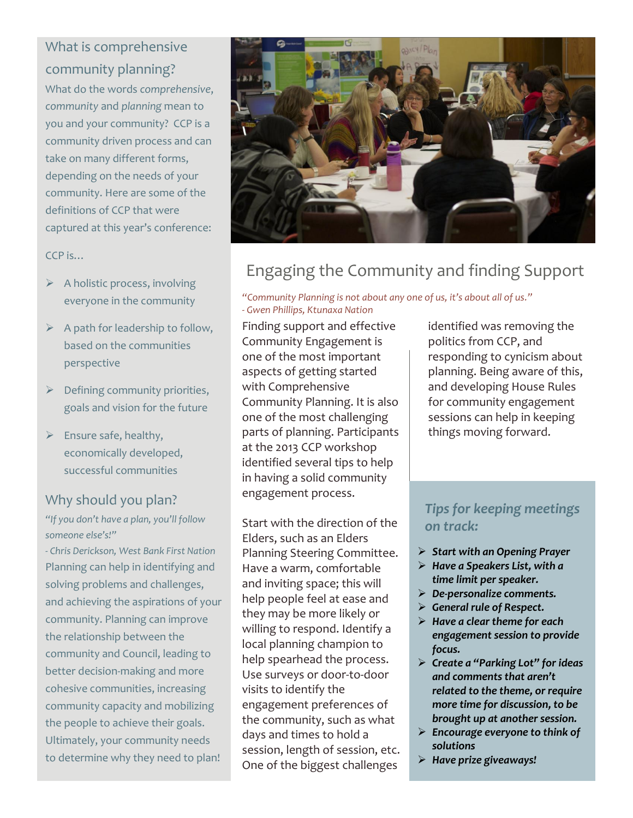# What is comprehensive community planning?

What do the words *comprehensive*, *community* and *planning* mean to you and your community? CCP is a community driven process and can take on many different forms, depending on the needs of your community. Here are some of the definitions of CCP that were captured at this year's conference:

#### CCP is…

- $\triangleright$  A holistic process, involving everyone in the community
- $\triangleright$  A path for leadership to follow, based on the communities perspective
- $\triangleright$  Defining community priorities, goals and vision for the future
- $\triangleright$  Ensure safe, healthy, economically developed, successful communities

### Why should you plan?

*"If you don't have a plan, you'll follow someone else's!"*

*- Chris Derickson, West Bank First Nation* Planning can help in identifying and solving problems and challenges, and achieving the aspirations of your community. Planning can improve the relationship between the community and Council, leading to better decision-making and more cohesive communities, increasing community capacity and mobilizing the people to achieve their goals. Ultimately, your community needs to determine why they need to plan!



# Engaging the Community and finding Support

#### *"Community Planning is not about any one of us, it's about all of us." - Gwen Phillips, Ktunaxa Nation*

Finding support and effective Community Engagement is one of the most important aspects of getting started with Comprehensive Community Planning. It is also one of the most challenging parts of planning. Participants at the 2013 CCP workshop identified several tips to help in having a solid community engagement process.

Start with the direction of the Elders, such as an Elders Planning Steering Committee. Have a warm, comfortable and inviting space; this will help people feel at ease and they may be more likely or willing to respond. Identify a local planning champion to help spearhead the process. Use surveys or door-to-door visits to identify the engagement preferences of the community, such as what days and times to hold a session, length of session, etc. One of the biggest challenges

identified was removing the politics from CCP, and responding to cynicism about planning. Being aware of this, and developing House Rules for community engagement sessions can help in keeping things moving forward.

### *Tips for keeping meetings on track:*

- *Start with an Opening Prayer*
- *Have a Speakers List, with a time limit per speaker.*
- *De-personalize comments.*
- *General rule of Respect.*
- *Have a clear theme for each engagement session to provide focus.*
- *Create a "Parking Lot" for ideas and comments that aren't related to the theme, or require more time for discussion, to be brought up at another session.*
- *Encourage everyone to think of solutions*
- *Have prize giveaways!*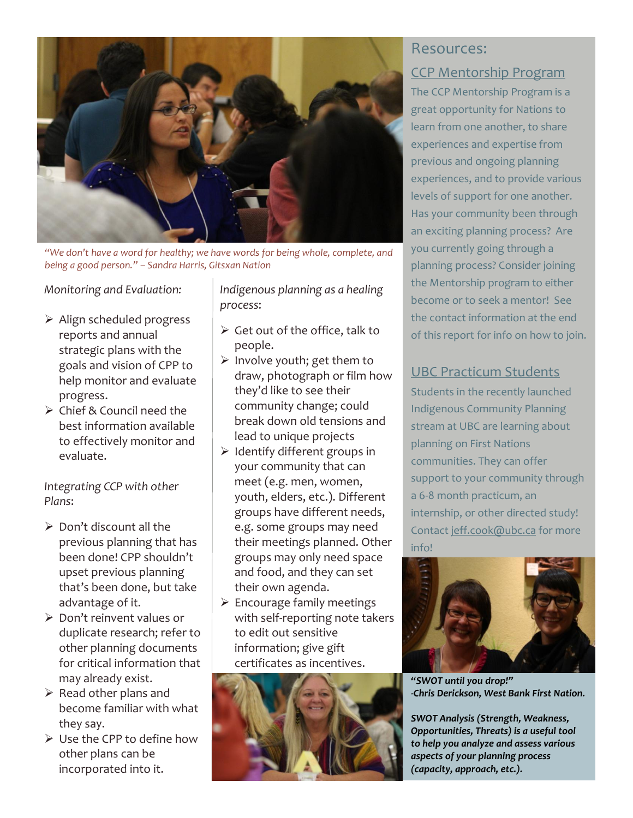

*"We don't have a word for healthy; we have words for being whole, complete, and being a good person." – Sandra Harris, Gitsxan Nation*

*Monitoring and Evaluation:*

- $\triangleright$  Align scheduled progress reports and annual strategic plans with the goals and vision of CPP to help monitor and evaluate progress.
- $\triangleright$  Chief & Council need the best information available to effectively monitor and evaluate.

*Integrating CCP with other Plans*:

- $\triangleright$  Don't discount all the previous planning that has been done! CPP shouldn't upset previous planning that's been done, but take advantage of it.
- $\triangleright$  Don't reinvent values or duplicate research; refer to other planning documents for critical information that may already exist.
- $\triangleright$  Read other plans and become familiar with what they say.
- Use the CPP to define how other plans can be incorporated into it.

*Indigenous planning as a healing process*:

- $\triangleright$  Get out of the office, talk to people.
- $\triangleright$  Involve youth; get them to draw, photograph or film how they'd like to see their community change; could break down old tensions and lead to unique projects
- $\triangleright$  Identify different groups in your community that can meet (e.g. men, women, youth, elders, etc.). Different groups have different needs, e.g. some groups may need their meetings planned. Other groups may only need space and food, and they can set their own agenda.
- $\triangleright$  Encourage family meetings with self-reporting note takers to edit out sensitive information; give gift certificates as incentives.



## Resources: CCP Mentorship Program

The CCP Mentorship Program is a great opportunity for Nations to learn from one another, to share experiences and expertise from previous and ongoing planning experiences, and to provide various levels of support for one another. Has your community been through an exciting planning process? Are you currently going through a planning process? Consider joining the Mentorship program to either become or to seek a mentor! See the contact information at the end of this report for info on how to join.

#### UBC Practicum Students

Students in the recently launched Indigenous Community Planning stream at UBC are learning about planning on First Nations communities. They can offer support to your community through a 6-8 month practicum, an internship, or other directed study! Contac[t jeff.cook@ubc.ca](mailto:jeff.cook@ubc.ca) for more info!



*"SWOT until you drop!" -Chris Derickson, West Bank First Nation.*

*SWOT Analysis (Strength, Weakness, Opportunities, Threats) is a useful tool to help you analyze and assess various aspects of your planning process (capacity, approach, etc.).*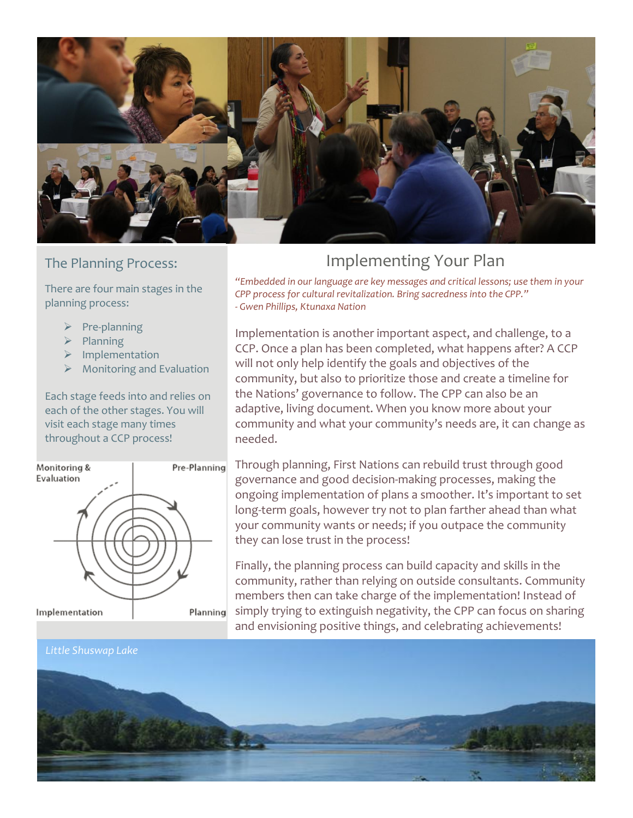

#### The Planning Process:

There are four main stages in the planning process:

- $\triangleright$  Pre-planning
- $\triangleright$  Planning
- $\triangleright$  Implementation
- $\triangleright$  Monitoring and Evaluation

Each stage feeds into and relies on each of the other stages. You will visit each stage many times throughout a CCP process!



# Implementing Your Plan

*"Embedded in our language are key messages and critical lessons; use them in your CPP process for cultural revitalization. Bring sacredness into the CPP." - Gwen Phillips, Ktunaxa Nation*

Implementation is another important aspect, and challenge, to a CCP. Once a plan has been completed, what happens after? A CCP will not only help identify the goals and objectives of the community, but also to prioritize those and create a timeline for the Nations' governance to follow. The CPP can also be an adaptive, living document. When you know more about your community and what your community's needs are, it can change as needed.

Through planning, First Nations can rebuild trust through good governance and good decision-making processes, making the ongoing implementation of plans a smoother. It's important to set long-term goals, however try not to plan farther ahead than what your community wants or needs; if you outpace the community they can lose trust in the process!

Finally, the planning process can build capacity and skills in the community, rather than relying on outside consultants. Community members then can take charge of the implementation! Instead of simply trying to extinguish negativity, the CPP can focus on sharing and envisioning positive things, and celebrating achievements!